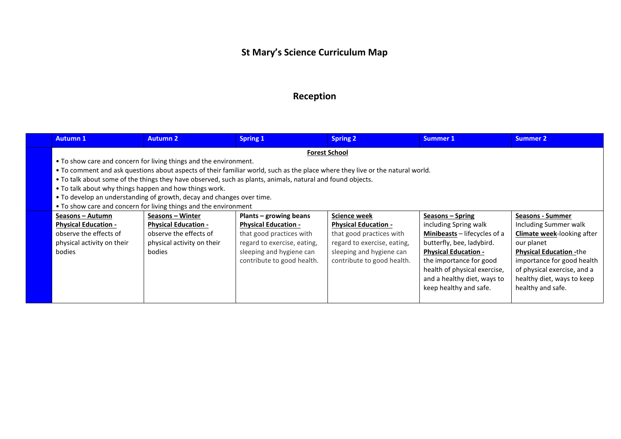## **St Mary's Science Curriculum Map**

## **Reception**

| <b>Autumn 1</b>                                                   | <b>Autumn 2</b>                                                                                                               | <b>Spring 1</b>             | <b>Spring 2</b>             | Summer 1                              | Summer 2                          |  |  |  |
|-------------------------------------------------------------------|-------------------------------------------------------------------------------------------------------------------------------|-----------------------------|-----------------------------|---------------------------------------|-----------------------------------|--|--|--|
| <b>Forest School</b>                                              |                                                                                                                               |                             |                             |                                       |                                   |  |  |  |
| • To show care and concern for living things and the environment. |                                                                                                                               |                             |                             |                                       |                                   |  |  |  |
|                                                                   | • To comment and ask questions about aspects of their familiar world, such as the place where they live or the natural world. |                             |                             |                                       |                                   |  |  |  |
|                                                                   | • To talk about some of the things they have observed, such as plants, animals, natural and found objects.                    |                             |                             |                                       |                                   |  |  |  |
| • To talk about why things happen and how things work.            |                                                                                                                               |                             |                             |                                       |                                   |  |  |  |
|                                                                   | • To develop an understanding of growth, decay and changes over time.                                                         |                             |                             |                                       |                                   |  |  |  |
|                                                                   | • To show care and concern for living things and the environment                                                              |                             |                             |                                       |                                   |  |  |  |
| Seasons – Autumn                                                  | Seasons – Winter                                                                                                              | Plants - growing beans      | <b>Science week</b>         | Seasons – Spring                      | <b>Seasons - Summer</b>           |  |  |  |
| <b>Physical Education -</b>                                       | <b>Physical Education -</b>                                                                                                   | <b>Physical Education -</b> | <b>Physical Education -</b> | including Spring walk                 | Including Summer walk             |  |  |  |
| observe the effects of                                            | observe the effects of                                                                                                        | that good practices with    | that good practices with    | <b>Minibeasts</b> $-$ lifecycles of a | <b>Climate week-looking after</b> |  |  |  |
| physical activity on their                                        | physical activity on their                                                                                                    | regard to exercise, eating, | regard to exercise, eating, | butterfly, bee, ladybird.             | our planet                        |  |  |  |
| bodies                                                            | bodies                                                                                                                        | sleeping and hygiene can    | sleeping and hygiene can    | <b>Physical Education -</b>           | <b>Physical Education -the</b>    |  |  |  |
|                                                                   |                                                                                                                               | contribute to good health.  | contribute to good health.  | the importance for good               | importance for good health        |  |  |  |
|                                                                   |                                                                                                                               |                             |                             | health of physical exercise,          | of physical exercise, and a       |  |  |  |
|                                                                   |                                                                                                                               |                             |                             | and a healthy diet, ways to           | healthy diet, ways to keep        |  |  |  |
|                                                                   |                                                                                                                               |                             |                             | keep healthy and safe.                | healthy and safe.                 |  |  |  |
|                                                                   |                                                                                                                               |                             |                             |                                       |                                   |  |  |  |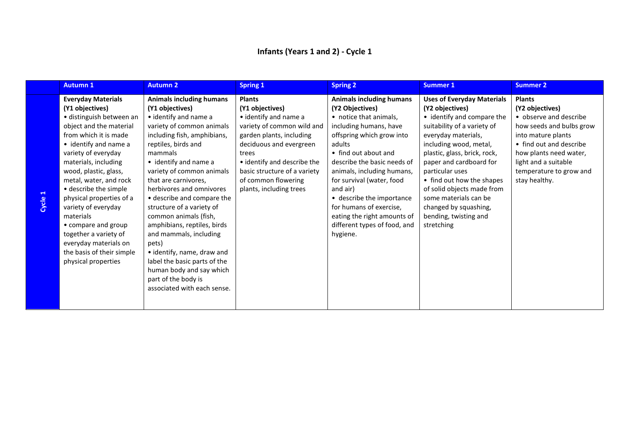|       | <b>Autumn 1</b>                                                                                                                                                                                                                                                                                                                                                                                                                                                               | <b>Autumn 2</b>                                                                                                                                                                                                                                                                                                                                                                                                                                                                                                                                                                           | <b>Spring 1</b>                                                                                                                                                                                                                                                          | <b>Spring 2</b>                                                                                                                                                                                                                                                                                                                                                                                                | <b>Summer 1</b>                                                                                                                                                                                                                                                                                                                                                                                      | <b>Summer 2</b>                                                                                                                                                                                                                       |
|-------|-------------------------------------------------------------------------------------------------------------------------------------------------------------------------------------------------------------------------------------------------------------------------------------------------------------------------------------------------------------------------------------------------------------------------------------------------------------------------------|-------------------------------------------------------------------------------------------------------------------------------------------------------------------------------------------------------------------------------------------------------------------------------------------------------------------------------------------------------------------------------------------------------------------------------------------------------------------------------------------------------------------------------------------------------------------------------------------|--------------------------------------------------------------------------------------------------------------------------------------------------------------------------------------------------------------------------------------------------------------------------|----------------------------------------------------------------------------------------------------------------------------------------------------------------------------------------------------------------------------------------------------------------------------------------------------------------------------------------------------------------------------------------------------------------|------------------------------------------------------------------------------------------------------------------------------------------------------------------------------------------------------------------------------------------------------------------------------------------------------------------------------------------------------------------------------------------------------|---------------------------------------------------------------------------------------------------------------------------------------------------------------------------------------------------------------------------------------|
| Cycle | <b>Everyday Materials</b><br>(Y1 objectives)<br>· distinguish between an<br>object and the material<br>from which it is made<br>• identify and name a<br>variety of everyday<br>materials, including<br>wood, plastic, glass,<br>metal, water, and rock<br>• describe the simple<br>physical properties of a<br>variety of everyday<br>materials<br>• compare and group<br>together a variety of<br>everyday materials on<br>the basis of their simple<br>physical properties | <b>Animals including humans</b><br>(Y1 objectives)<br>• identify and name a<br>variety of common animals<br>including fish, amphibians,<br>reptiles, birds and<br>mammals<br>• identify and name a<br>variety of common animals<br>that are carnivores,<br>herbivores and omnivores<br>• describe and compare the<br>structure of a variety of<br>common animals (fish,<br>amphibians, reptiles, birds<br>and mammals, including<br>pets)<br>• identify, name, draw and<br>label the basic parts of the<br>human body and say which<br>part of the body is<br>associated with each sense. | <b>Plants</b><br>(Y1 objectives)<br>• identify and name a<br>variety of common wild and<br>garden plants, including<br>deciduous and evergreen<br>trees<br>• identify and describe the<br>basic structure of a variety<br>of common flowering<br>plants, including trees | <b>Animals including humans</b><br>(Y2 Objectives)<br>• notice that animals,<br>including humans, have<br>offspring which grow into<br>adults<br>• find out about and<br>describe the basic needs of<br>animals, including humans,<br>for survival (water, food<br>and air)<br>• describe the importance<br>for humans of exercise,<br>eating the right amounts of<br>different types of food, and<br>hygiene. | <b>Uses of Everyday Materials</b><br>(Y2 objectives)<br>• identify and compare the<br>suitability of a variety of<br>everyday materials,<br>including wood, metal,<br>plastic, glass, brick, rock,<br>paper and cardboard for<br>particular uses<br>• find out how the shapes<br>of solid objects made from<br>some materials can be<br>changed by squashing,<br>bending, twisting and<br>stretching | <b>Plants</b><br>(Y2 objectives)<br>• observe and describe<br>how seeds and bulbs grow<br>into mature plants<br>• find out and describe<br>how plants need water,<br>light and a suitable<br>temperature to grow and<br>stay healthy. |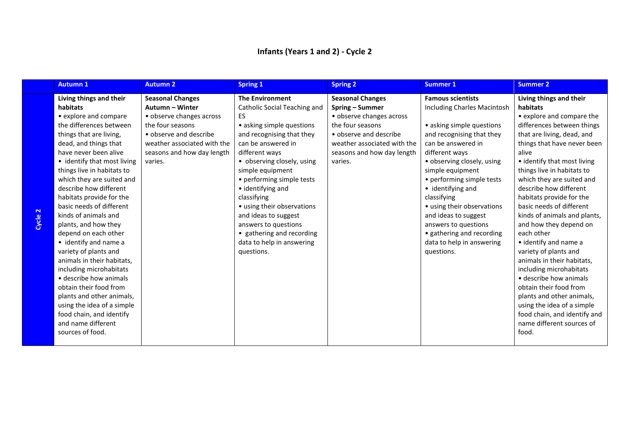| <b>Autumn 1</b>             | <b>Autumn 2</b>             | <b>Spring 1</b>              | <b>Spring 2</b>             | <b>Summer 1</b>             | <b>Summer 2</b>              |
|-----------------------------|-----------------------------|------------------------------|-----------------------------|-----------------------------|------------------------------|
| Living things and their     | <b>Seasonal Changes</b>     | <b>The Environment</b>       | <b>Seasonal Changes</b>     | <b>Famous scientists</b>    | Living things and their      |
| habitats                    | Autumn - Winter             | Catholic Social Teaching and | Spring - Summer             | Including Charles Macintosh | habitats                     |
| • explore and compare       | • observe changes across    | ES                           | • observe changes across    |                             | • explore and compare the    |
| the differences between     | the four seasons            | • asking simple questions    | the four seasons            | • asking simple questions   | differences between things   |
| things that are living,     | • observe and describe      | and recognising that they    | • observe and describe      | and recognising that they   | that are living, dead, and   |
| dead, and things that       | weather associated with the | can be answered in           | weather associated with the | can be answered in          | things that have never been  |
| have never been alive       | seasons and how day length  | different ways               | seasons and how day length  | different ways              | alive                        |
| • identify that most living | varies.                     | • observing closely, using   | varies.                     | • observing closely, using  | • identify that most living  |
| things live in habitats to  |                             | simple equipment             |                             | simple equipment            | things live in habitats to   |
| which they are suited and   |                             | • performing simple tests    |                             | • performing simple tests   | which they are suited and    |
| describe how different      |                             | • identifying and            |                             | • identifying and           | describe how different       |
| habitats provide for the    |                             | classifying                  |                             | classifying                 | habitats provide for the     |
| basic needs of different    |                             | • using their observations   |                             | • using their observations  | basic needs of different     |
| kinds of animals and        |                             | and ideas to suggest         |                             | and ideas to suggest        | kinds of animals and plants, |
| plants, and how they        |                             | answers to questions         |                             | answers to questions        | and how they depend on       |
| depend on each other        |                             | • gathering and recording    |                             | • gathering and recording   | each other                   |
| • identify and name a       |                             | data to help in answering    |                             | data to help in answering   | • identify and name a        |
| variety of plants and       |                             | questions.                   |                             | questions.                  | variety of plants and        |
| animals in their habitats,  |                             |                              |                             |                             | animals in their habitats,   |
| including microhabitats     |                             |                              |                             |                             | including microhabitats      |
| • describe how animals      |                             |                              |                             |                             | • describe how animals       |
| obtain their food from      |                             |                              |                             |                             | obtain their food from       |
| plants and other animals,   |                             |                              |                             |                             | plants and other animals,    |
| using the idea of a simple  |                             |                              |                             |                             | using the idea of a simple   |
| food chain, and identify    |                             |                              |                             |                             | food chain, and identify and |
| and name different          |                             |                              |                             |                             | name different sources of    |
| sources of food.            |                             |                              |                             |                             | food.                        |
|                             |                             |                              |                             |                             |                              |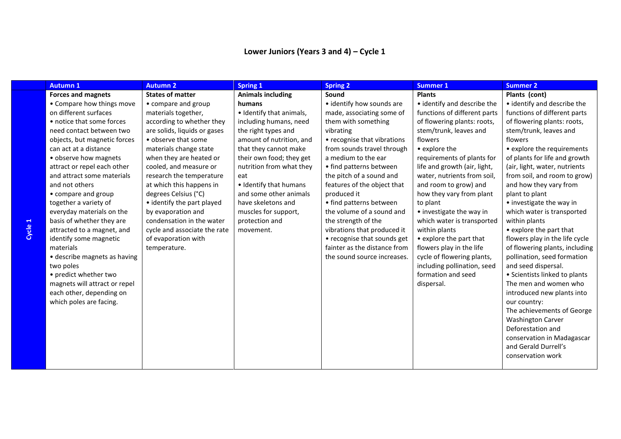| <b>Autumn 1</b>               | <b>Autumn 2</b>              | <b>Spring 1</b>          | <b>Spring 2</b>              | <b>Summer 1</b>              | <b>Summer 2</b>                |
|-------------------------------|------------------------------|--------------------------|------------------------------|------------------------------|--------------------------------|
| <b>Forces and magnets</b>     | <b>States of matter</b>      | <b>Animals including</b> | Sound                        | <b>Plants</b>                | Plants (cont)                  |
| • Compare how things move     | • compare and group          | humans                   | • identify how sounds are    | • identify and describe the  | • identify and describe the    |
| on different surfaces         | materials together,          | • Identify that animals, | made, associating some of    | functions of different parts | functions of different parts   |
| • notice that some forces     | according to whether they    | including humans, need   | them with something          | of flowering plants: roots,  | of flowering plants: roots,    |
| need contact between two      | are solids, liquids or gases | the right types and      | vibrating                    | stem/trunk, leaves and       | stem/trunk, leaves and         |
| objects, but magnetic forces  | • observe that some          | amount of nutrition, and | • recognise that vibrations  | flowers                      | flowers                        |
| can act at a distance         | materials change state       | that they cannot make    | from sounds travel through   | • explore the                | • explore the requirements     |
| • observe how magnets         | when they are heated or      | their own food; they get | a medium to the ear          | requirements of plants for   | of plants for life and growth  |
| attract or repel each other   | cooled, and measure or       | nutrition from what they | • find patterns between      | life and growth (air, light, | (air, light, water, nutrients  |
| and attract some materials    | research the temperature     | eat                      | the pitch of a sound and     | water, nutrients from soil,  | from soil, and room to grow)   |
| and not others                | at which this happens in     | • Identify that humans   | features of the object that  | and room to grow) and        | and how they vary from         |
| • compare and group           | degrees Celsius (°C)         | and some other animals   | produced it                  | how they vary from plant     | plant to plant                 |
| together a variety of         | • identify the part played   | have skeletons and       | • find patterns between      | to plant                     | • investigate the way in       |
| everyday materials on the     | by evaporation and           | muscles for support,     | the volume of a sound and    | • investigate the way in     | which water is transported     |
| basis of whether they are     | condensation in the water    | protection and           | the strength of the          | which water is transported   | within plants                  |
| attracted to a magnet, and    | cycle and associate the rate | movement.                | vibrations that produced it  | within plants                | • explore the part that        |
| identify some magnetic        | of evaporation with          |                          | • recognise that sounds get  | • explore the part that      | flowers play in the life cycle |
| materials                     | temperature.                 |                          | fainter as the distance from | flowers play in the life     | of flowering plants, including |
| • describe magnets as having  |                              |                          | the sound source increases.  | cycle of flowering plants,   | pollination, seed formation    |
| two poles                     |                              |                          |                              | including pollination, seed  | and seed dispersal.            |
| • predict whether two         |                              |                          |                              | formation and seed           | • Scientists linked to plants  |
| magnets will attract or repel |                              |                          |                              | dispersal.                   | The men and women who          |
| each other, depending on      |                              |                          |                              |                              | introduced new plants into     |
| which poles are facing.       |                              |                          |                              |                              | our country:                   |
|                               |                              |                          |                              |                              | The achievements of George     |
|                               |                              |                          |                              |                              | <b>Washington Carver</b>       |
|                               |                              |                          |                              |                              | Deforestation and              |
|                               |                              |                          |                              |                              | conservation in Madagascar     |
|                               |                              |                          |                              |                              | and Gerald Durrell's           |
|                               |                              |                          |                              |                              | conservation work              |
|                               |                              |                          |                              |                              |                                |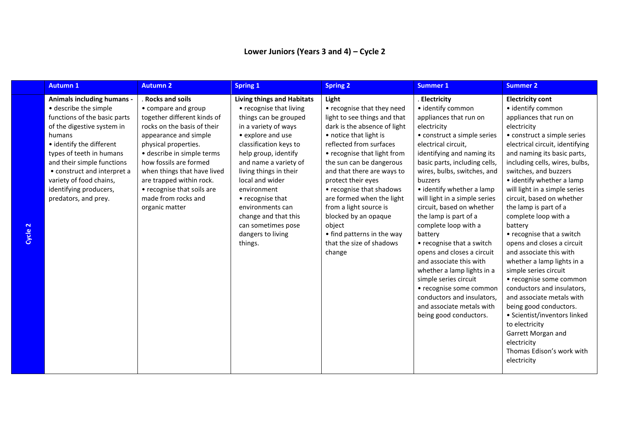| <b>Spring 1</b><br><b>Spring 2</b><br><b>Autumn 1</b><br><b>Autumn 2</b><br><b>Summer 1</b><br><b>Summer 2</b>                                                                                                                                                                                                                                                                                                                                                                                                                                                                                                                                                                                                                                                                                                                                                                                                                                                                                                                                                                                                                                                                                                                                                                                                                                                                                                                                                                                                                                                                                                                                                                                                                                                                                                                                                                                                                                                                                                                                                                                                                                                                                                                                                                                                                                                                                                                                                                                                                                                                                                                                                                                                                                                                                                                                                                                                                                                                                                                                      |  |
|-----------------------------------------------------------------------------------------------------------------------------------------------------------------------------------------------------------------------------------------------------------------------------------------------------------------------------------------------------------------------------------------------------------------------------------------------------------------------------------------------------------------------------------------------------------------------------------------------------------------------------------------------------------------------------------------------------------------------------------------------------------------------------------------------------------------------------------------------------------------------------------------------------------------------------------------------------------------------------------------------------------------------------------------------------------------------------------------------------------------------------------------------------------------------------------------------------------------------------------------------------------------------------------------------------------------------------------------------------------------------------------------------------------------------------------------------------------------------------------------------------------------------------------------------------------------------------------------------------------------------------------------------------------------------------------------------------------------------------------------------------------------------------------------------------------------------------------------------------------------------------------------------------------------------------------------------------------------------------------------------------------------------------------------------------------------------------------------------------------------------------------------------------------------------------------------------------------------------------------------------------------------------------------------------------------------------------------------------------------------------------------------------------------------------------------------------------------------------------------------------------------------------------------------------------------------------------------------------------------------------------------------------------------------------------------------------------------------------------------------------------------------------------------------------------------------------------------------------------------------------------------------------------------------------------------------------------------------------------------------------------------------------------------------------------|--|
| <b>Rocks and soils</b><br><b>Animals including humans -</b><br><b>Living things and Habitats</b><br>Light<br>. Electricity<br><b>Electricity cont</b><br>· describe the simple<br>• recognise that they need<br>· identify common<br>• identify common<br>• compare and group<br>• recognise that living<br>functions of the basic parts<br>together different kinds of<br>light to see things and that<br>appliances that run on<br>appliances that run on<br>things can be grouped<br>of the digestive system in<br>rocks on the basis of their<br>in a variety of ways<br>dark is the absence of light<br>electricity<br>electricity<br>• explore and use<br>• notice that light is<br>• construct a simple series<br>• construct a simple series<br>appearance and simple<br>humans<br>reflected from surfaces<br>• identify the different<br>physical properties.<br>classification keys to<br>electrical circuit,<br>electrical circuit, identifying<br>help group, identify<br>types of teeth in humans<br>· describe in simple terms<br>• recognise that light from<br>identifying and naming its<br>and naming its basic parts,<br>and their simple functions<br>how fossils are formed<br>and name a variety of<br>the sun can be dangerous<br>basic parts, including cells,<br>including cells, wires, bulbs,<br>when things that have lived<br>and that there are ways to<br>wires, bulbs, switches, and<br>switches, and buzzers<br>• construct and interpret a<br>living things in their<br>• identify whether a lamp<br>variety of food chains,<br>are trapped within rock.<br>local and wider<br>protect their eyes<br>buzzers<br>• identify whether a lamp<br>identifying producers,<br>• recognise that soils are<br>• recognise that shadows<br>will light in a simple series<br>environment<br>made from rocks and<br>circuit, based on whether<br>are formed when the light<br>will light in a simple series<br>predators, and prey.<br>• recognise that<br>from a light source is<br>circuit, based on whether<br>the lamp is part of a<br>environments can<br>organic matter<br>blocked by an opaque<br>the lamp is part of a<br>complete loop with a<br>change and that this<br>complete loop with a<br>can sometimes pose<br>object<br>battery<br>• find patterns in the way<br>dangers to living<br>• recognise that a switch<br>battery<br>that the size of shadows<br>• recognise that a switch<br>opens and closes a circuit<br>things.<br>and associate this with<br>opens and closes a circuit<br>change<br>and associate this with<br>whether a lamp lights in a<br>whether a lamp lights in a<br>simple series circuit<br>simple series circuit<br>• recognise some common<br>conductors and insulators,<br>• recognise some common<br>conductors and insulators,<br>and associate metals with<br>and associate metals with<br>being good conductors.<br>• Scientist/inventors linked<br>being good conductors.<br>to electricity<br>Garrett Morgan and<br>electricity<br>Thomas Edison's work with<br>electricity |  |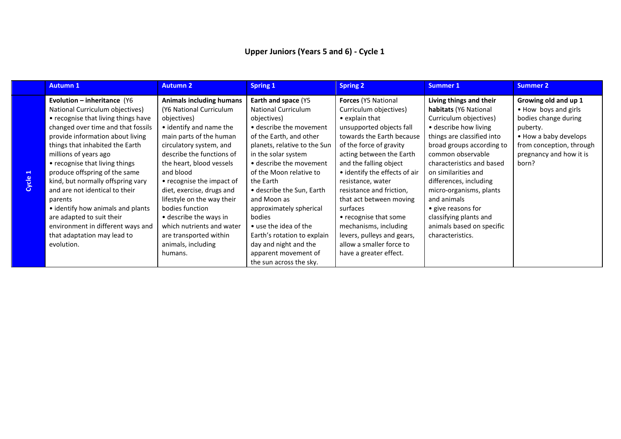|            | <b>Autumn 1</b>                                                                                                                                                                                                                                                                                                                                                                                                                                                                                                                                      | <b>Autumn 2</b>                                                                                                                                                                                                                                                                                                                                                                                                                                               | <b>Spring 1</b>                                                                                                                                                                                                                                                                                                                                                                                                                                                       | <b>Spring 2</b>                                                                                                                                                                                                                                                                                                                                                                                                                                                                         | <b>Summer 1</b>                                                                                                                                                                                                                                                                                                                                                                                              | <b>Summer 2</b>                                                                                                                                                           |
|------------|------------------------------------------------------------------------------------------------------------------------------------------------------------------------------------------------------------------------------------------------------------------------------------------------------------------------------------------------------------------------------------------------------------------------------------------------------------------------------------------------------------------------------------------------------|---------------------------------------------------------------------------------------------------------------------------------------------------------------------------------------------------------------------------------------------------------------------------------------------------------------------------------------------------------------------------------------------------------------------------------------------------------------|-----------------------------------------------------------------------------------------------------------------------------------------------------------------------------------------------------------------------------------------------------------------------------------------------------------------------------------------------------------------------------------------------------------------------------------------------------------------------|-----------------------------------------------------------------------------------------------------------------------------------------------------------------------------------------------------------------------------------------------------------------------------------------------------------------------------------------------------------------------------------------------------------------------------------------------------------------------------------------|--------------------------------------------------------------------------------------------------------------------------------------------------------------------------------------------------------------------------------------------------------------------------------------------------------------------------------------------------------------------------------------------------------------|---------------------------------------------------------------------------------------------------------------------------------------------------------------------------|
| ÷<br>Cycle | Evolution - inheritance (Y6<br>National Curriculum objectives)<br>• recognise that living things have<br>changed over time and that fossils<br>provide information about living<br>things that inhabited the Earth<br>millions of years ago<br>• recognise that living things<br>produce offspring of the same<br>kind, but normally offspring vary<br>and are not identical to their<br>parents<br>• identify how animals and plants<br>are adapted to suit their<br>environment in different ways and<br>that adaptation may lead to<br>evolution. | <b>Animals including humans</b><br>(Y6 National Curriculum<br>objectives)<br>• identify and name the<br>main parts of the human<br>circulatory system, and<br>describe the functions of<br>the heart, blood vessels<br>and blood<br>• recognise the impact of<br>diet, exercise, drugs and<br>lifestyle on the way their<br>bodies function<br>• describe the ways in<br>which nutrients and water<br>are transported within<br>animals, including<br>humans. | Earth and space (Y5<br><b>National Curriculum</b><br>objectives)<br>• describe the movement<br>of the Earth, and other<br>planets, relative to the Sun<br>in the solar system<br>• describe the movement<br>of the Moon relative to<br>the Earth<br>• describe the Sun, Earth<br>and Moon as<br>approximately spherical<br>bodies<br>• use the idea of the<br>Earth's rotation to explain<br>day and night and the<br>apparent movement of<br>the sun across the sky. | <b>Forces (Y5 National</b><br>Curriculum objectives)<br>$\bullet$ explain that<br>unsupported objects fall<br>towards the Earth because<br>of the force of gravity<br>acting between the Earth<br>and the falling object<br>• identify the effects of air<br>resistance, water<br>resistance and friction,<br>that act between moving<br>surfaces<br>• recognise that some<br>mechanisms, including<br>levers, pulleys and gears,<br>allow a smaller force to<br>have a greater effect. | Living things and their<br>habitats (Y6 National<br>Curriculum objectives)<br>• describe how living<br>things are classified into<br>broad groups according to<br>common observable<br>characteristics and based<br>on similarities and<br>differences, including<br>micro-organisms, plants<br>and animals<br>• give reasons for<br>classifying plants and<br>animals based on specific<br>characteristics. | Growing old and up 1<br>• How boys and girls<br>bodies change during<br>puberty.<br>• How a baby develops<br>from conception, through<br>pregnancy and how it is<br>born? |